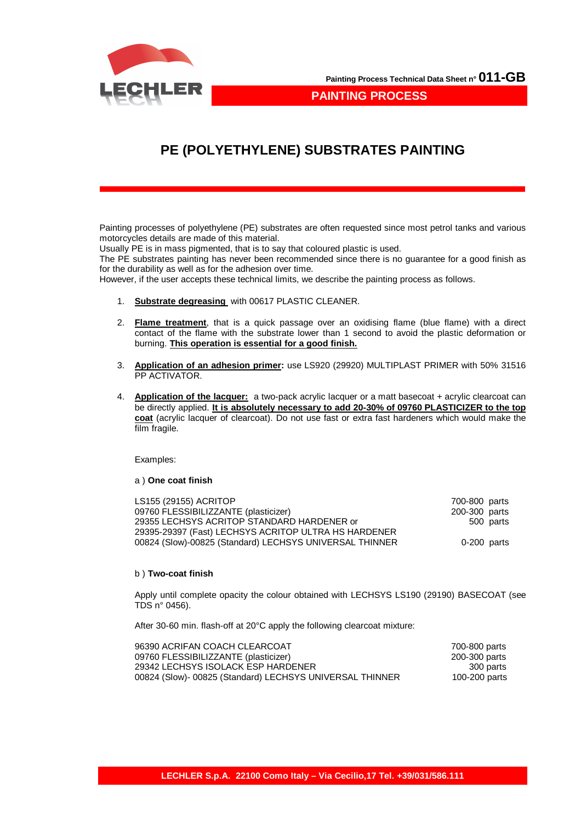

**PAINTING PROCESS**

## **PE (POLYETHYLENE) SUBSTRATES PAINTING**

Painting processes of polyethylene (PE) substrates are often requested since most petrol tanks and various motorcycles details are made of this material.

Usually PE is in mass pigmented, that is to say that coloured plastic is used.

The PE substrates painting has never been recommended since there is no guarantee for a good finish as for the durability as well as for the adhesion over time.

However, if the user accepts these technical limits, we describe the painting process as follows.

- 1. **Substrate degreasing** with 00617 PLASTIC CLEANER.
- 2. **Flame treatment**, that is a quick passage over an oxidising flame (blue flame) with a direct contact of the flame with the substrate lower than 1 second to avoid the plastic deformation or burning. **This operation is essential for a good finish.**
- 3. **Application of an adhesion primer:** use LS920 (29920) MULTIPLAST PRIMER with 50% 31516 PP ACTIVATOR.
- 4. **Application of the lacquer:** a two-pack acrylic lacquer or a matt basecoat + acrylic clearcoat can be directly applied. **It is absolutely necessary to add 20-30% of 09760 PLASTICIZER to the top coat** (acrylic lacquer of clearcoat). Do not use fast or extra fast hardeners which would make the film fragile.

Examples:

## a ) **One coat finish**

| LS155 (29155) ACRITOP                                   | 700-800 parts |           |
|---------------------------------------------------------|---------------|-----------|
| 09760 FLESSIBILIZZANTE (plasticizer)                    | 200-300 parts |           |
| 29355 LECHSYS ACRITOP STANDARD HARDENER or              |               | 500 parts |
| 29395-29397 (Fast) LECHSYS ACRITOP ULTRA HS HARDENER    |               |           |
| 00824 (Slow)-00825 (Standard) LECHSYS UNIVERSAL THINNER | $0-200$ parts |           |

## b ) **Two-coat finish**

Apply until complete opacity the colour obtained with LECHSYS LS190 (29190) BASECOAT (see TDS n° 0456).

After 30-60 min. flash-off at 20°C apply the following clearcoat mixture:

| 96390 ACRIFAN COACH CLEARCOAT                            | 700-800 parts |
|----------------------------------------------------------|---------------|
| 09760 FLESSIBILIZZANTE (plasticizer)                     | 200-300 parts |
| 29342 LECHSYS ISOLACK ESP HARDENER                       | 300 parts     |
| 00824 (Slow)- 00825 (Standard) LECHSYS UNIVERSAL THINNER | 100-200 parts |